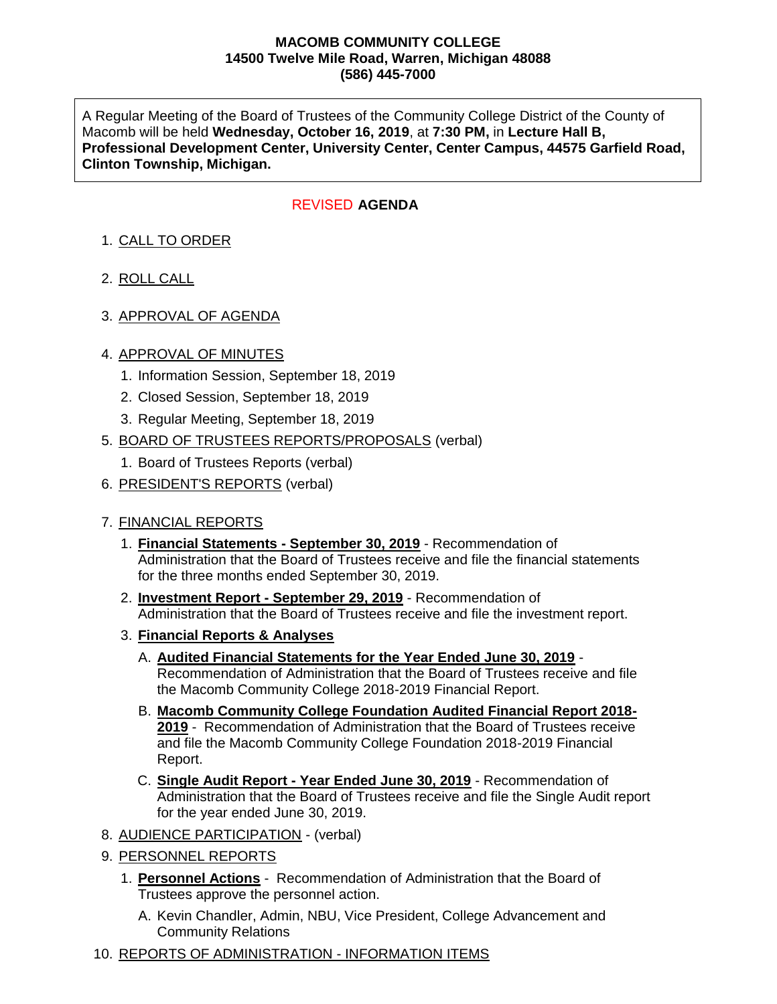#### **MACOMB COMMUNITY COLLEGE 14500 Twelve Mile Road, Warren, Michigan 48088 (586) 445-7000**

A Regular Meeting of the Board of Trustees of the Community College District of the County of Macomb will be held **Wednesday, October 16, 2019**, at **7:30 PM,** in **Lecture Hall B, Professional Development Center, University Center, Center Campus, 44575 Garfield Road, Clinton Township, Michigan.**

## **AGENDA**  REVISED

# 1. CALL TO ORDER

- 2. ROLL CALL
- 3. APPROVAL OF AGENDA

### 4. APPROVAL OF MINUTES

- 1. Information Session, September 18, 2019
- 2. Closed Session, September 18, 2019
- 3. Regular Meeting, September 18, 2019
- 5. BOARD OF TRUSTEES REPORTS/PROPOSALS (verbal)
	- 1. Board of Trustees Reports (verbal)
- 6. PRESIDENT'S REPORTS (verbal)

### 7. FINANCIAL REPORTS

- 1. **Financial Statements - September 30, 2019** Recommendation of Administration that the Board of Trustees receive and file the financial statements for the three months ended September 30, 2019.
- 2. **Investment Report - September 29, 2019** Recommendation of Administration that the Board of Trustees receive and file the investment report.
- 3. **Financial Reports & Analyses**
	- A. **Audited Financial Statements for the Year Ended June 30, 2019** Recommendation of Administration that the Board of Trustees receive and file the Macomb Community College 2018-2019 Financial Report.
	- B. **Macomb Community College Foundation Audited Financial Report 2018- 2019** - Recommendation of Administration that the Board of Trustees receive and file the Macomb Community College Foundation 2018-2019 Financial Report.
	- C. **Single Audit Report - Year Ended June 30, 2019** Recommendation of Administration that the Board of Trustees receive and file the Single Audit report for the year ended June 30, 2019.
- 8. AUDIENCE PARTICIPATION (verbal)
- 9. PERSONNEL REPORTS
	- 1. **Personnel Actions** Recommendation of Administration that the Board of Trustees approve the personnel action.
		- A. Kevin Chandler, Admin, NBU, Vice President, College Advancement and Community Relations
- 10. REPORTS OF ADMINISTRATION INFORMATION ITEMS